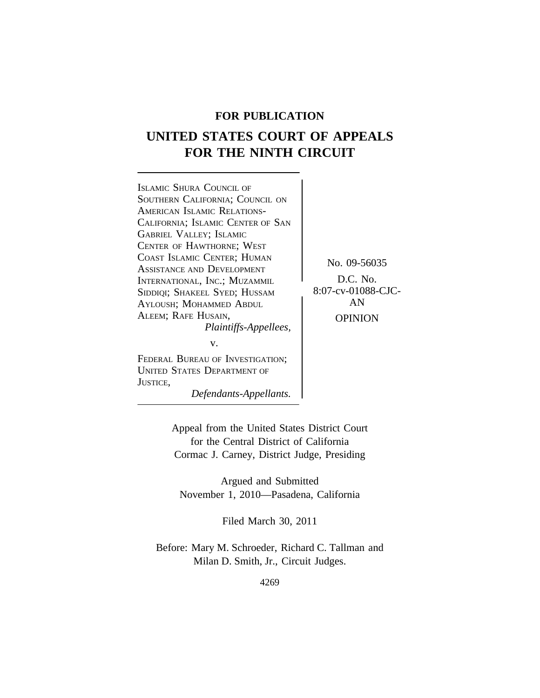# **FOR PUBLICATION**

# **UNITED STATES COURT OF APPEALS FOR THE NINTH CIRCUIT**

<sup>I</sup>SLAMIC SHURA COUNCIL OF SOUTHERN CALIFORNIA; COUNCIL ON AMERICAN ISLAMIC RELATIONS-CALIFORNIA; ISLAMIC CENTER OF SAN GABRIEL VALLEY; ISLAMIC CENTER OF HAWTHORNE; WEST COAST ISLAMIC CENTER; HUMAN<br>
ASSISTANCE AND DEVELOPMENT<br>
INTERNATIONAL INC: MUZAMMI D.C. No. INTERNATIONAL, INC.; MUZAMMIL (D.C. No.<br>Siddiol: Shakeel Syed: Hussam (8:07-cv-01088-CJC-SIDDIQI; SHAKEEL SYED; HUSSAM 8:07-cv-0108<br>Avi Qush: Mohammed Ardui AYLOUSH; MOHAMMED ABDUL ALEEM; RAFE HUSAIN, OPINION *Plaintiffs-Appellees,* v.

FEDERAL BUREAU OF INVESTIGATION; UNITED STATES DEPARTMENT OF JUSTICE,

*Defendants-Appellants.*

Appeal from the United States District Court for the Central District of California Cormac J. Carney, District Judge, Presiding

Argued and Submitted November 1, 2010—Pasadena, California

Filed March 30, 2011

Before: Mary M. Schroeder, Richard C. Tallman and Milan D. Smith, Jr., Circuit Judges.

4269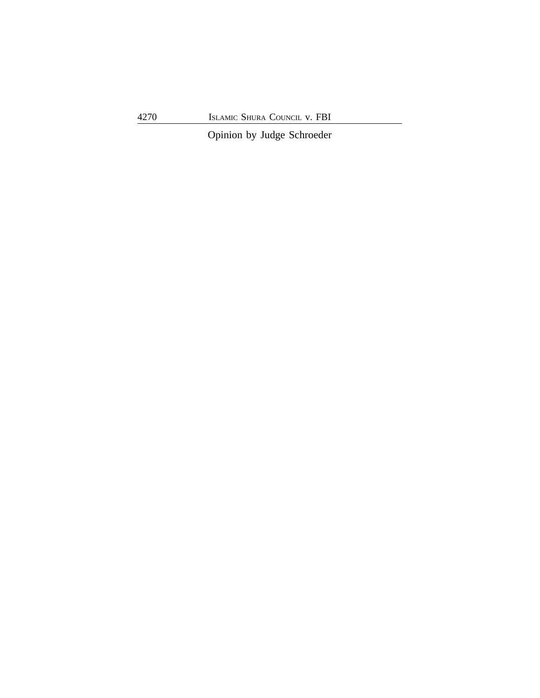Opinion by Judge Schroeder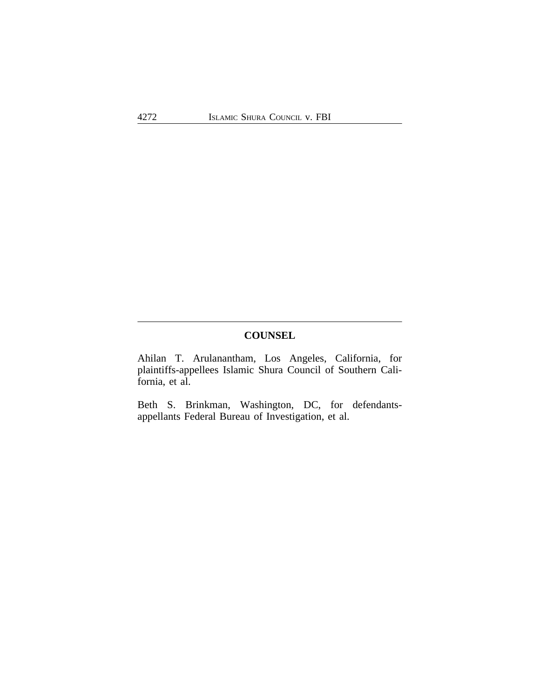# **COUNSEL**

Ahilan T. Arulanantham, Los Angeles, California, for plaintiffs-appellees Islamic Shura Council of Southern California, et al.

Beth S. Brinkman, Washington, DC, for defendantsappellants Federal Bureau of Investigation, et al.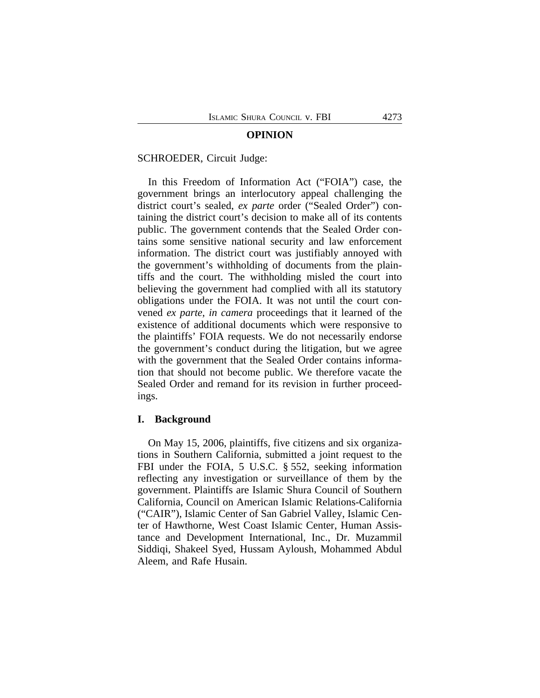#### **OPINION**

#### SCHROEDER, Circuit Judge:

In this Freedom of Information Act ("FOIA") case, the government brings an interlocutory appeal challenging the district court's sealed, *ex parte* order ("Sealed Order") containing the district court's decision to make all of its contents public. The government contends that the Sealed Order contains some sensitive national security and law enforcement information. The district court was justifiably annoyed with the government's withholding of documents from the plaintiffs and the court. The withholding misled the court into believing the government had complied with all its statutory obligations under the FOIA. It was not until the court convened *ex parte*, *in camera* proceedings that it learned of the existence of additional documents which were responsive to the plaintiffs' FOIA requests. We do not necessarily endorse the government's conduct during the litigation, but we agree with the government that the Sealed Order contains information that should not become public. We therefore vacate the Sealed Order and remand for its revision in further proceedings.

# **I. Background**

On May 15, 2006, plaintiffs, five citizens and six organizations in Southern California, submitted a joint request to the FBI under the FOIA, 5 U.S.C. § 552, seeking information reflecting any investigation or surveillance of them by the government. Plaintiffs are Islamic Shura Council of Southern California, Council on American Islamic Relations-California ("CAIR"), Islamic Center of San Gabriel Valley, Islamic Center of Hawthorne, West Coast Islamic Center, Human Assistance and Development International, Inc., Dr. Muzammil Siddiqi, Shakeel Syed, Hussam Ayloush, Mohammed Abdul Aleem, and Rafe Husain.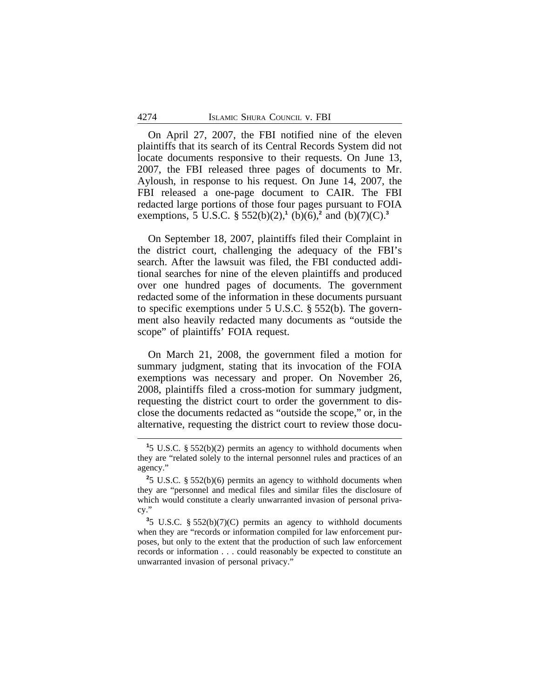On April 27, 2007, the FBI notified nine of the eleven plaintiffs that its search of its Central Records System did not locate documents responsive to their requests. On June 13, 2007, the FBI released three pages of documents to Mr. Ayloush, in response to his request. On June 14, 2007, the FBI released a one-page document to CAIR. The FBI redacted large portions of those four pages pursuant to FOIA exemptions, 5 U.S.C. § 552(b)(2),<sup>1</sup> (b)(6),<sup>2</sup> and (b)(7)(C).<sup>3</sup>

On September 18, 2007, plaintiffs filed their Complaint in the district court, challenging the adequacy of the FBI's search. After the lawsuit was filed, the FBI conducted additional searches for nine of the eleven plaintiffs and produced over one hundred pages of documents. The government redacted some of the information in these documents pursuant to specific exemptions under 5 U.S.C. § 552(b). The government also heavily redacted many documents as "outside the scope" of plaintiffs' FOIA request.

On March 21, 2008, the government filed a motion for summary judgment, stating that its invocation of the FOIA exemptions was necessary and proper. On November 26, 2008, plaintiffs filed a cross-motion for summary judgment, requesting the district court to order the government to disclose the documents redacted as "outside the scope," or, in the alternative, requesting the district court to review those docu-

**<sup>1</sup>** 5 U.S.C. § 552(b)(2) permits an agency to withhold documents when they are "related solely to the internal personnel rules and practices of an agency."

**<sup>2</sup>** 5 U.S.C. § 552(b)(6) permits an agency to withhold documents when they are "personnel and medical files and similar files the disclosure of which would constitute a clearly unwarranted invasion of personal privacy."

**<sup>3</sup>** 5 U.S.C. § 552(b)(7)(C) permits an agency to withhold documents when they are "records or information compiled for law enforcement purposes, but only to the extent that the production of such law enforcement records or information . . . could reasonably be expected to constitute an unwarranted invasion of personal privacy."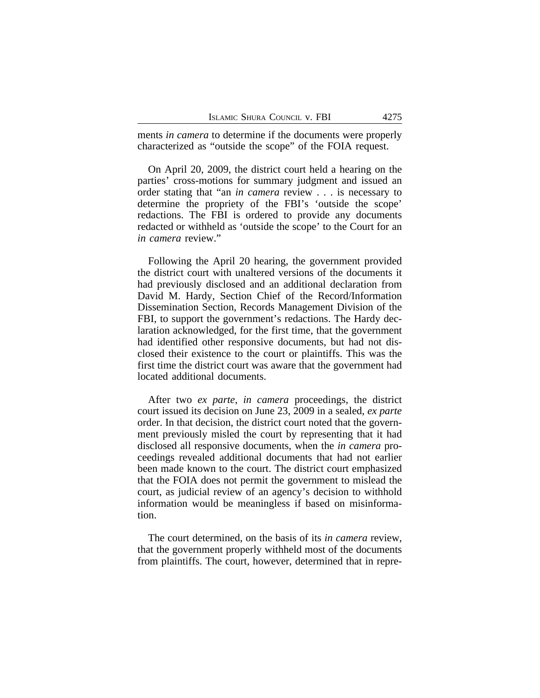ments *in camera* to determine if the documents were properly characterized as "outside the scope" of the FOIA request.

On April 20, 2009, the district court held a hearing on the parties' cross-motions for summary judgment and issued an order stating that "an *in camera* review . . . is necessary to determine the propriety of the FBI's 'outside the scope' redactions. The FBI is ordered to provide any documents redacted or withheld as 'outside the scope' to the Court for an *in camera* review."

Following the April 20 hearing, the government provided the district court with unaltered versions of the documents it had previously disclosed and an additional declaration from David M. Hardy, Section Chief of the Record/Information Dissemination Section, Records Management Division of the FBI, to support the government's redactions. The Hardy declaration acknowledged, for the first time, that the government had identified other responsive documents, but had not disclosed their existence to the court or plaintiffs. This was the first time the district court was aware that the government had located additional documents.

After two *ex parte*, *in camera* proceedings, the district court issued its decision on June 23, 2009 in a sealed, *ex parte* order. In that decision, the district court noted that the government previously misled the court by representing that it had disclosed all responsive documents, when the *in camera* proceedings revealed additional documents that had not earlier been made known to the court. The district court emphasized that the FOIA does not permit the government to mislead the court, as judicial review of an agency's decision to withhold information would be meaningless if based on misinformation.

The court determined, on the basis of its *in camera* review, that the government properly withheld most of the documents from plaintiffs. The court, however, determined that in repre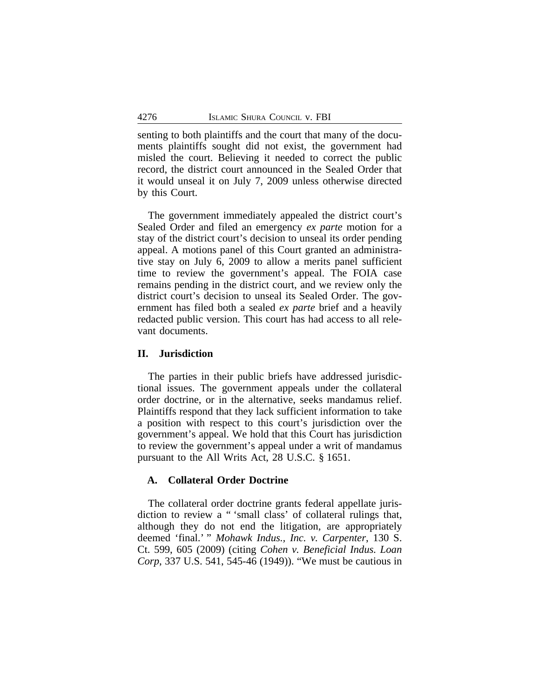senting to both plaintiffs and the court that many of the documents plaintiffs sought did not exist, the government had misled the court. Believing it needed to correct the public record, the district court announced in the Sealed Order that it would unseal it on July 7, 2009 unless otherwise directed by this Court.

The government immediately appealed the district court's Sealed Order and filed an emergency *ex parte* motion for a stay of the district court's decision to unseal its order pending appeal. A motions panel of this Court granted an administrative stay on July 6, 2009 to allow a merits panel sufficient time to review the government's appeal. The FOIA case remains pending in the district court, and we review only the district court's decision to unseal its Sealed Order. The government has filed both a sealed *ex parte* brief and a heavily redacted public version. This court has had access to all relevant documents.

#### **II. Jurisdiction**

The parties in their public briefs have addressed jurisdictional issues. The government appeals under the collateral order doctrine, or in the alternative, seeks mandamus relief. Plaintiffs respond that they lack sufficient information to take a position with respect to this court's jurisdiction over the government's appeal. We hold that this Court has jurisdiction to review the government's appeal under a writ of mandamus pursuant to the All Writs Act, 28 U.S.C. § 1651.

# **A. Collateral Order Doctrine**

The collateral order doctrine grants federal appellate jurisdiction to review a " 'small class' of collateral rulings that, although they do not end the litigation, are appropriately deemed 'final.' " *Mohawk Indus., Inc. v. Carpenter*, 130 S. Ct. 599, 605 (2009) (citing *Cohen v. Beneficial Indus. Loan Corp*, 337 U.S. 541, 545-46 (1949)). "We must be cautious in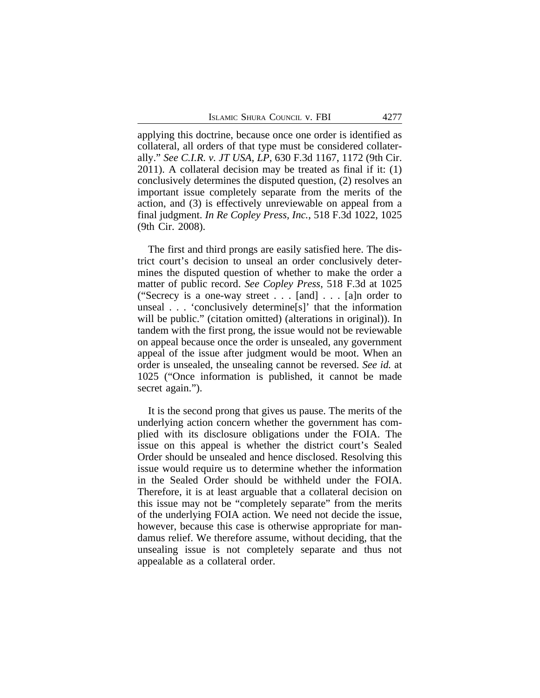applying this doctrine, because once one order is identified as collateral, all orders of that type must be considered collaterally." *See C.I.R. v. JT USA, LP*, 630 F.3d 1167, 1172 (9th Cir. 2011). A collateral decision may be treated as final if it: (1) conclusively determines the disputed question, (2) resolves an important issue completely separate from the merits of the action, and (3) is effectively unreviewable on appeal from a final judgment. *In Re Copley Press, Inc.*, 518 F.3d 1022, 1025 (9th Cir. 2008).

The first and third prongs are easily satisfied here. The district court's decision to unseal an order conclusively determines the disputed question of whether to make the order a matter of public record. *See Copley Press*, 518 F.3d at 1025 ("Secrecy is a one-way street . . . [and] . . . [a]n order to unseal . . . 'conclusively determine[s]' that the information will be public." (citation omitted) (alterations in original)). In tandem with the first prong, the issue would not be reviewable on appeal because once the order is unsealed, any government appeal of the issue after judgment would be moot. When an order is unsealed, the unsealing cannot be reversed. *See id.* at 1025 ("Once information is published, it cannot be made secret again.").

It is the second prong that gives us pause. The merits of the underlying action concern whether the government has complied with its disclosure obligations under the FOIA. The issue on this appeal is whether the district court's Sealed Order should be unsealed and hence disclosed. Resolving this issue would require us to determine whether the information in the Sealed Order should be withheld under the FOIA. Therefore, it is at least arguable that a collateral decision on this issue may not be "completely separate" from the merits of the underlying FOIA action. We need not decide the issue, however, because this case is otherwise appropriate for mandamus relief. We therefore assume, without deciding, that the unsealing issue is not completely separate and thus not appealable as a collateral order.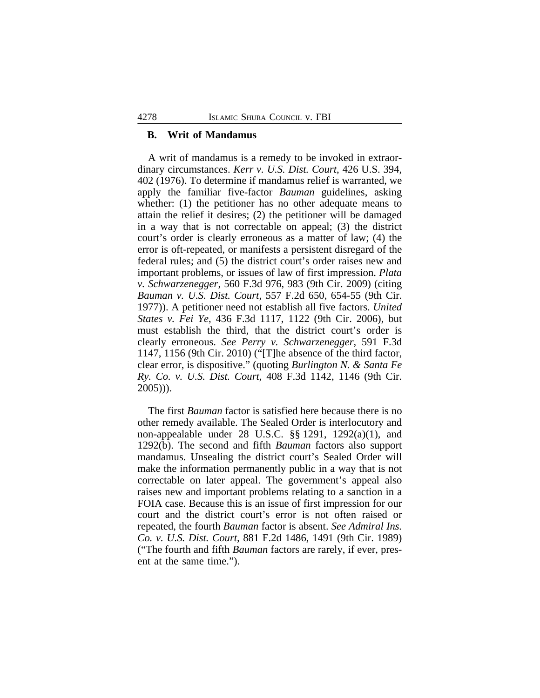## **B. Writ of Mandamus**

A writ of mandamus is a remedy to be invoked in extraordinary circumstances. *Kerr v. U.S. Dist. Court*, 426 U.S. 394, 402 (1976). To determine if mandamus relief is warranted, we apply the familiar five-factor *Bauman* guidelines, asking whether: (1) the petitioner has no other adequate means to attain the relief it desires; (2) the petitioner will be damaged in a way that is not correctable on appeal; (3) the district court's order is clearly erroneous as a matter of law; (4) the error is oft-repeated, or manifests a persistent disregard of the federal rules; and (5) the district court's order raises new and important problems, or issues of law of first impression. *Plata v. Schwarzenegger*, 560 F.3d 976, 983 (9th Cir. 2009) (citing *Bauman v. U.S. Dist. Court*, 557 F.2d 650, 654-55 (9th Cir. 1977)). A petitioner need not establish all five factors. *United States v. Fei Ye*, 436 F.3d 1117, 1122 (9th Cir. 2006), but must establish the third, that the district court's order is clearly erroneous. *See Perry v. Schwarzenegger*, 591 F.3d 1147, 1156 (9th Cir. 2010) ("[T]he absence of the third factor, clear error, is dispositive." (quoting *Burlington N. & Santa Fe Ry. Co. v. U.S. Dist. Court*, 408 F.3d 1142, 1146 (9th Cir. 2005))).

The first *Bauman* factor is satisfied here because there is no other remedy available. The Sealed Order is interlocutory and non-appealable under 28 U.S.C. §§ 1291, 1292(a)(1), and 1292(b). The second and fifth *Bauman* factors also support mandamus. Unsealing the district court's Sealed Order will make the information permanently public in a way that is not correctable on later appeal. The government's appeal also raises new and important problems relating to a sanction in a FOIA case. Because this is an issue of first impression for our court and the district court's error is not often raised or repeated, the fourth *Bauman* factor is absent. *See Admiral Ins. Co. v. U.S. Dist. Court,* 881 F.2d 1486, 1491 (9th Cir. 1989) ("The fourth and fifth *Bauman* factors are rarely, if ever, present at the same time.").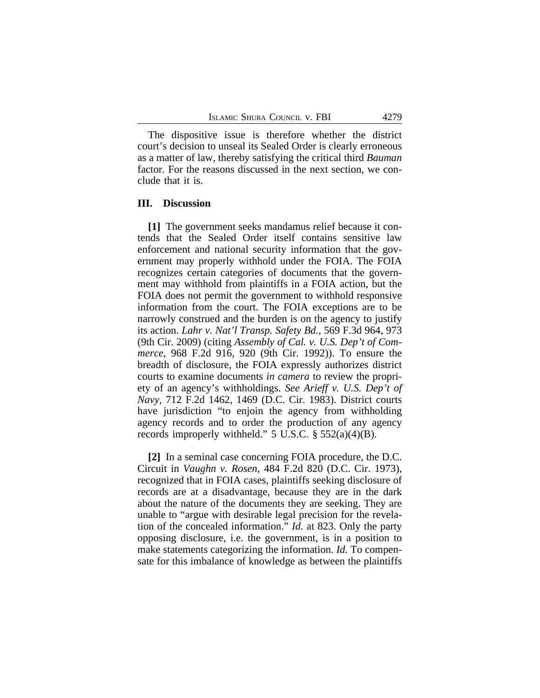The dispositive issue is therefore whether the district court's decision to unseal its Sealed Order is clearly erroneous as a matter of law, thereby satisfying the critical third *Bauman* factor. For the reasons discussed in the next section, we conclude that it is.

# **III. Discussion**

**[1]** The government seeks mandamus relief because it contends that the Sealed Order itself contains sensitive law enforcement and national security information that the government may properly withhold under the FOIA. The FOIA recognizes certain categories of documents that the government may withhold from plaintiffs in a FOIA action, but the FOIA does not permit the government to withhold responsive information from the court. The FOIA exceptions are to be narrowly construed and the burden is on the agency to justify its action. *Lahr v. Nat'l Transp. Safety Bd.*, 569 F.3d 964, 973 (9th Cir. 2009) (citing *Assembly of Cal. v. U.S. Dep't of Commerce*, 968 F.2d 916, 920 (9th Cir. 1992)). To ensure the breadth of disclosure, the FOIA expressly authorizes district courts to examine documents *in camera* to review the propriety of an agency's withholdings. *See Arieff v. U.S. Dep't of Navy*, 712 F.2d 1462, 1469 (D.C. Cir. 1983). District courts have jurisdiction "to enjoin the agency from withholding agency records and to order the production of any agency records improperly withheld." 5 U.S.C.  $\S$  552(a)(4)(B).

**[2]** In a seminal case concerning FOIA procedure, the D.C. Circuit in *Vaughn v. Rosen*, 484 F.2d 820 (D.C. Cir. 1973), recognized that in FOIA cases, plaintiffs seeking disclosure of records are at a disadvantage, because they are in the dark about the nature of the documents they are seeking. They are unable to "argue with desirable legal precision for the revelation of the concealed information." *Id.* at 823. Only the party opposing disclosure, i.e. the government, is in a position to make statements categorizing the information. *Id.* To compensate for this imbalance of knowledge as between the plaintiffs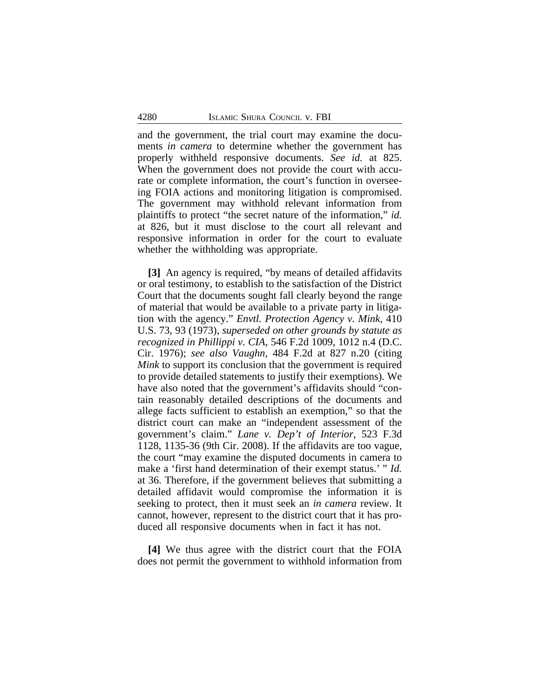and the government, the trial court may examine the documents *in camera* to determine whether the government has properly withheld responsive documents. *See id.* at 825. When the government does not provide the court with accurate or complete information, the court's function in overseeing FOIA actions and monitoring litigation is compromised. The government may withhold relevant information from plaintiffs to protect "the secret nature of the information," *id.* at 826, but it must disclose to the court all relevant and responsive information in order for the court to evaluate whether the withholding was appropriate.

**[3]** An agency is required, "by means of detailed affidavits or oral testimony, to establish to the satisfaction of the District Court that the documents sought fall clearly beyond the range of material that would be available to a private party in litigation with the agency." *Envtl. Protection Agency v. Mink*, 410 U.S. 73, 93 (1973), *superseded on other grounds by statute as recognized in Phillippi v. CIA*, 546 F.2d 1009, 1012 n.4 (D.C. Cir. 1976); *see also Vaughn*, 484 F.2d at 827 n.20 (citing *Mink* to support its conclusion that the government is required to provide detailed statements to justify their exemptions). We have also noted that the government's affidavits should "contain reasonably detailed descriptions of the documents and allege facts sufficient to establish an exemption," so that the district court can make an "independent assessment of the government's claim." *Lane v. Dep't of Interior*, 523 F.3d 1128, 1135-36 (9th Cir. 2008). If the affidavits are too vague, the court "may examine the disputed documents in camera to make a 'first hand determination of their exempt status.' " *Id.* at 36. Therefore, if the government believes that submitting a detailed affidavit would compromise the information it is seeking to protect, then it must seek an *in camera* review. It cannot, however, represent to the district court that it has produced all responsive documents when in fact it has not.

**[4]** We thus agree with the district court that the FOIA does not permit the government to withhold information from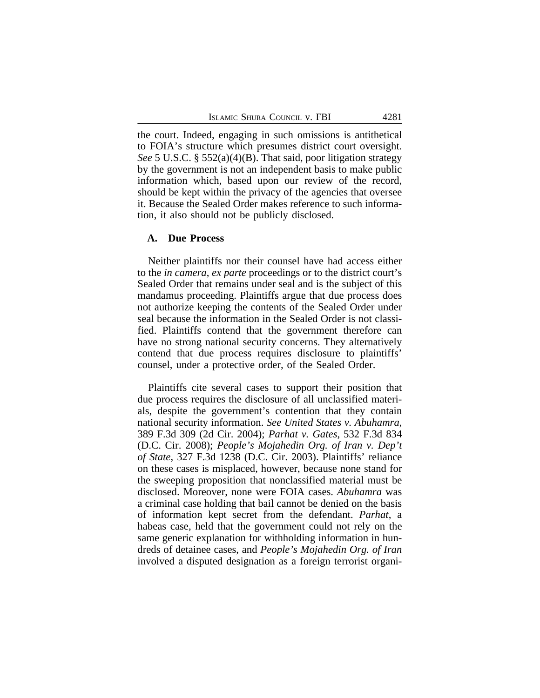the court. Indeed, engaging in such omissions is antithetical to FOIA's structure which presumes district court oversight. *See* 5 U.S.C. § 552(a)(4)(B). That said, poor litigation strategy by the government is not an independent basis to make public information which, based upon our review of the record, should be kept within the privacy of the agencies that oversee it. Because the Sealed Order makes reference to such information, it also should not be publicly disclosed.

### **A. Due Process**

Neither plaintiffs nor their counsel have had access either to the *in camera*, *ex parte* proceedings or to the district court's Sealed Order that remains under seal and is the subject of this mandamus proceeding. Plaintiffs argue that due process does not authorize keeping the contents of the Sealed Order under seal because the information in the Sealed Order is not classified. Plaintiffs contend that the government therefore can have no strong national security concerns. They alternatively contend that due process requires disclosure to plaintiffs' counsel, under a protective order, of the Sealed Order.

Plaintiffs cite several cases to support their position that due process requires the disclosure of all unclassified materials, despite the government's contention that they contain national security information. *See United States v. Abuhamra*, 389 F.3d 309 (2d Cir. 2004); *Parhat v. Gates*, 532 F.3d 834 (D.C. Cir. 2008); *People's Mojahedin Org. of Iran v. Dep't of State*, 327 F.3d 1238 (D.C. Cir. 2003). Plaintiffs' reliance on these cases is misplaced, however, because none stand for the sweeping proposition that nonclassified material must be disclosed. Moreover, none were FOIA cases. *Abuhamra* was a criminal case holding that bail cannot be denied on the basis of information kept secret from the defendant. *Parhat*, a habeas case, held that the government could not rely on the same generic explanation for withholding information in hundreds of detainee cases, and *People's Mojahedin Org. of Iran* involved a disputed designation as a foreign terrorist organi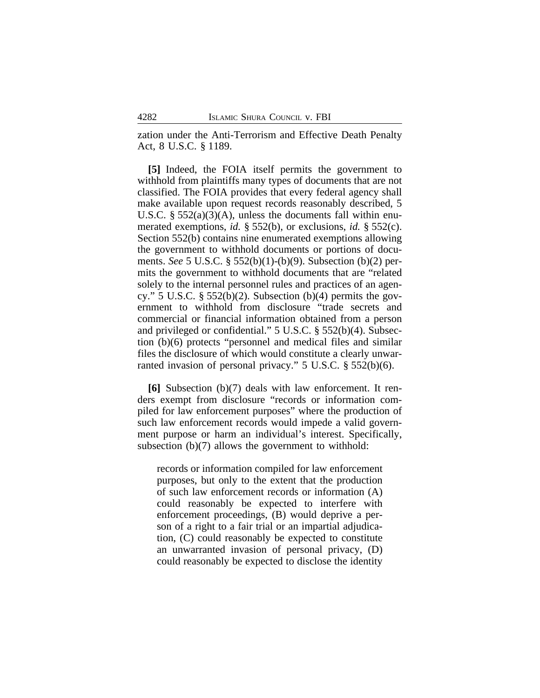zation under the Anti-Terrorism and Effective Death Penalty Act, 8 U.S.C. § 1189.

**[5]** Indeed, the FOIA itself permits the government to withhold from plaintiffs many types of documents that are not classified. The FOIA provides that every federal agency shall make available upon request records reasonably described, 5 U.S.C.  $\S 552(a)(3)(A)$ , unless the documents fall within enumerated exemptions, *id.* § 552(b), or exclusions, *id.* § 552(c). Section 552(b) contains nine enumerated exemptions allowing the government to withhold documents or portions of documents. *See* 5 U.S.C. § 552(b)(1)-(b)(9). Subsection (b)(2) permits the government to withhold documents that are "related solely to the internal personnel rules and practices of an agency." 5 U.S.C.  $\S$  552(b)(2). Subsection (b)(4) permits the government to withhold from disclosure "trade secrets and commercial or financial information obtained from a person and privileged or confidential." 5 U.S.C. § 552(b)(4). Subsection (b)(6) protects "personnel and medical files and similar files the disclosure of which would constitute a clearly unwarranted invasion of personal privacy." 5 U.S.C. § 552(b)(6).

**[6]** Subsection (b)(7) deals with law enforcement. It renders exempt from disclosure "records or information compiled for law enforcement purposes" where the production of such law enforcement records would impede a valid government purpose or harm an individual's interest. Specifically, subsection (b)(7) allows the government to withhold:

records or information compiled for law enforcement purposes, but only to the extent that the production of such law enforcement records or information (A) could reasonably be expected to interfere with enforcement proceedings, (B) would deprive a person of a right to a fair trial or an impartial adjudication, (C) could reasonably be expected to constitute an unwarranted invasion of personal privacy, (D) could reasonably be expected to disclose the identity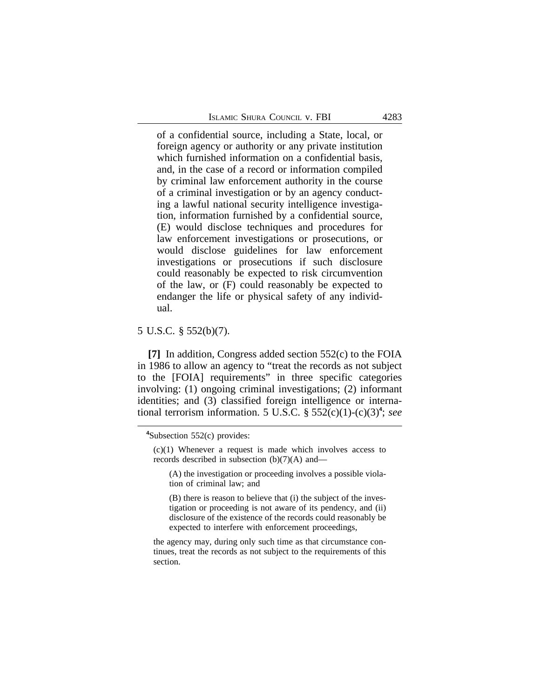of a confidential source, including a State, local, or foreign agency or authority or any private institution which furnished information on a confidential basis, and, in the case of a record or information compiled by criminal law enforcement authority in the course of a criminal investigation or by an agency conducting a lawful national security intelligence investigation, information furnished by a confidential source, (E) would disclose techniques and procedures for law enforcement investigations or prosecutions, or would disclose guidelines for law enforcement investigations or prosecutions if such disclosure could reasonably be expected to risk circumvention of the law, or (F) could reasonably be expected to endanger the life or physical safety of any individual.

# 5 U.S.C. § 552(b)(7).

**[7]** In addition, Congress added section 552(c) to the FOIA in 1986 to allow an agency to "treat the records as not subject to the [FOIA] requirements" in three specific categories involving: (1) ongoing criminal investigations; (2) informant identities; and (3) classified foreign intelligence or international terrorism information. 5 U.S.C. § 552(c)(1)-(c)(3)**<sup>4</sup>** ; *see*

**<sup>4</sup>**Subsection 552(c) provides:

 $(c)(1)$  Whenever a request is made which involves access to records described in subsection (b)(7)(A) and—

<sup>(</sup>A) the investigation or proceeding involves a possible violation of criminal law; and

<sup>(</sup>B) there is reason to believe that (i) the subject of the investigation or proceeding is not aware of its pendency, and (ii) disclosure of the existence of the records could reasonably be expected to interfere with enforcement proceedings,

the agency may, during only such time as that circumstance continues, treat the records as not subject to the requirements of this section.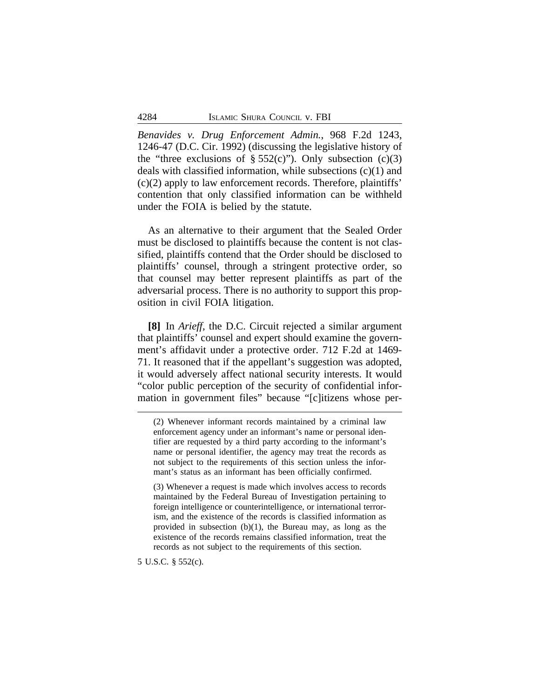*Benavides v. Drug Enforcement Admin.*, 968 F.2d 1243, 1246-47 (D.C. Cir. 1992) (discussing the legislative history of the "three exclusions of  $\S 552(c)$ "). Only subsection (c)(3) deals with classified information, while subsections  $(c)(1)$  and (c)(2) apply to law enforcement records. Therefore, plaintiffs' contention that only classified information can be withheld under the FOIA is belied by the statute.

As an alternative to their argument that the Sealed Order must be disclosed to plaintiffs because the content is not classified, plaintiffs contend that the Order should be disclosed to plaintiffs' counsel, through a stringent protective order, so that counsel may better represent plaintiffs as part of the adversarial process. There is no authority to support this proposition in civil FOIA litigation.

**[8]** In *Arieff*, the D.C. Circuit rejected a similar argument that plaintiffs' counsel and expert should examine the government's affidavit under a protective order. 712 F.2d at 1469- 71. It reasoned that if the appellant's suggestion was adopted, it would adversely affect national security interests. It would "color public perception of the security of confidential information in government files" because "[c]itizens whose per-

(3) Whenever a request is made which involves access to records maintained by the Federal Bureau of Investigation pertaining to foreign intelligence or counterintelligence, or international terrorism, and the existence of the records is classified information as provided in subsection (b)(1), the Bureau may, as long as the existence of the records remains classified information, treat the records as not subject to the requirements of this section.

5 U.S.C. § 552(c).

<sup>(2)</sup> Whenever informant records maintained by a criminal law enforcement agency under an informant's name or personal identifier are requested by a third party according to the informant's name or personal identifier, the agency may treat the records as not subject to the requirements of this section unless the informant's status as an informant has been officially confirmed.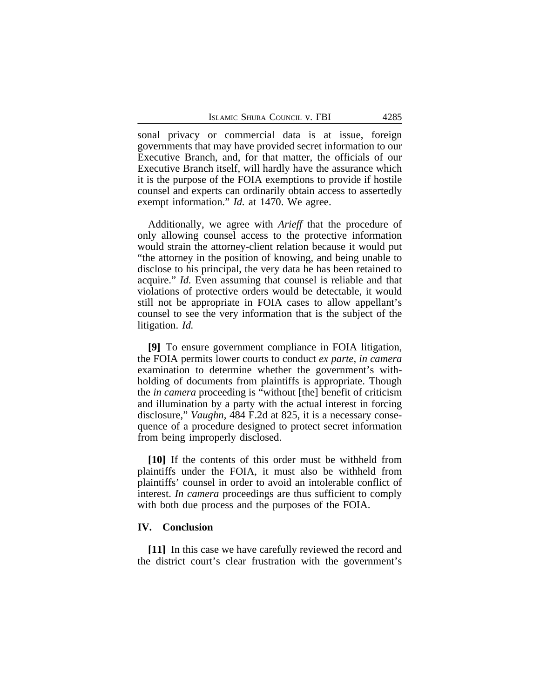sonal privacy or commercial data is at issue, foreign governments that may have provided secret information to our Executive Branch, and, for that matter, the officials of our Executive Branch itself, will hardly have the assurance which it is the purpose of the FOIA exemptions to provide if hostile counsel and experts can ordinarily obtain access to assertedly exempt information." *Id.* at 1470. We agree.

Additionally, we agree with *Arieff* that the procedure of only allowing counsel access to the protective information would strain the attorney-client relation because it would put "the attorney in the position of knowing, and being unable to disclose to his principal, the very data he has been retained to acquire." *Id.* Even assuming that counsel is reliable and that violations of protective orders would be detectable, it would still not be appropriate in FOIA cases to allow appellant's counsel to see the very information that is the subject of the litigation. *Id.*

**[9]** To ensure government compliance in FOIA litigation, the FOIA permits lower courts to conduct *ex parte, in camera* examination to determine whether the government's withholding of documents from plaintiffs is appropriate. Though the *in camera* proceeding is "without [the] benefit of criticism and illumination by a party with the actual interest in forcing disclosure," *Vaughn*, 484 F.2d at 825, it is a necessary consequence of a procedure designed to protect secret information from being improperly disclosed.

**[10]** If the contents of this order must be withheld from plaintiffs under the FOIA, it must also be withheld from plaintiffs' counsel in order to avoid an intolerable conflict of interest. *In camera* proceedings are thus sufficient to comply with both due process and the purposes of the FOIA.

## **IV. Conclusion**

**[11]** In this case we have carefully reviewed the record and the district court's clear frustration with the government's